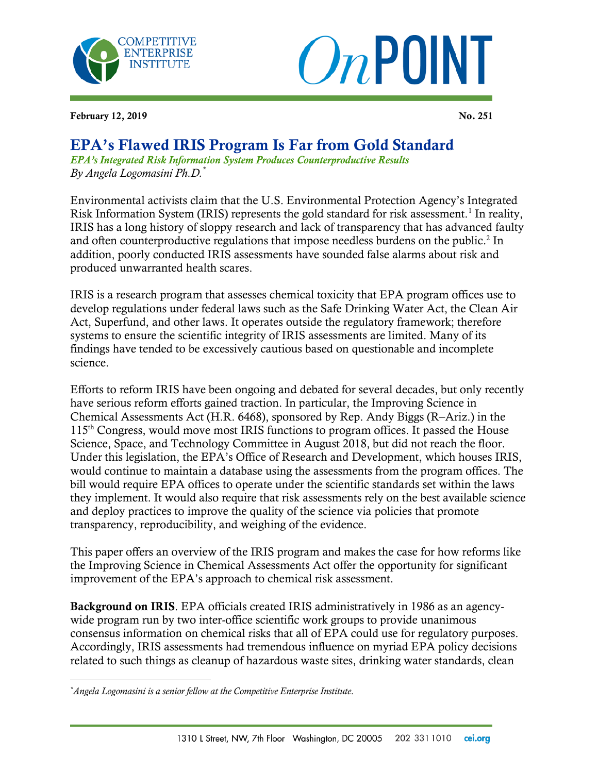



February 12, 2019 No. 251

## EPA's Flawed IRIS Program Is Far from Gold Standard

*EPA's Integrated Risk Information System Produces Counterproductive Results By Angela Logomasini Ph.D.\**

Environmental activists claim that the U.S. Environmental Protection Agency's Integrated Risk Information System (IRIS) represents the gold standard for risk assessment.<sup>1</sup> In reality, IRIS has a long history of sloppy research and lack of transparency that has advanced faulty and often counterproductive regulations that impose needless burdens on the public.<sup>2</sup> In addition, poorly conducted IRIS assessments have sounded false alarms about risk and produced unwarranted health scares.

IRIS is a research program that assesses chemical toxicity that EPA program offices use to develop regulations under federal laws such as the Safe Drinking Water Act, the Clean Air Act, Superfund, and other laws. It operates outside the regulatory framework; therefore systems to ensure the scientific integrity of IRIS assessments are limited. Many of its findings have tended to be excessively cautious based on questionable and incomplete science.

Efforts to reform IRIS have been ongoing and debated for several decades, but only recently have serious reform efforts gained traction. In particular, the Improving Science in Chemical Assessments Act (H.R. 6468), sponsored by Rep. Andy Biggs (R–Ariz.) in the 115th Congress, would move most IRIS functions to program offices. It passed the House Science, Space, and Technology Committee in August 2018, but did not reach the floor. Under this legislation, the EPA's Office of Research and Development, which houses IRIS, would continue to maintain a database using the assessments from the program offices. The bill would require EPA offices to operate under the scientific standards set within the laws they implement. It would also require that risk assessments rely on the best available science and deploy practices to improve the quality of the science via policies that promote transparency, reproducibility, and weighing of the evidence.

This paper offers an overview of the IRIS program and makes the case for how reforms like the Improving Science in Chemical Assessments Act offer the opportunity for significant improvement of the EPA's approach to chemical risk assessment.

Background on IRIS. EPA officials created IRIS administratively in 1986 as an agencywide program run by two inter-office scientific work groups to provide unanimous consensus information on chemical risks that all of EPA could use for regulatory purposes. Accordingly, IRIS assessments had tremendous influence on myriad EPA policy decisions related to such things as cleanup of hazardous waste sites, drinking water standards, clean

 $\overline{\phantom{a}}$ 

*<sup>\*</sup>Angela Logomasini is a senior fellow at the Competitive Enterprise Institute.*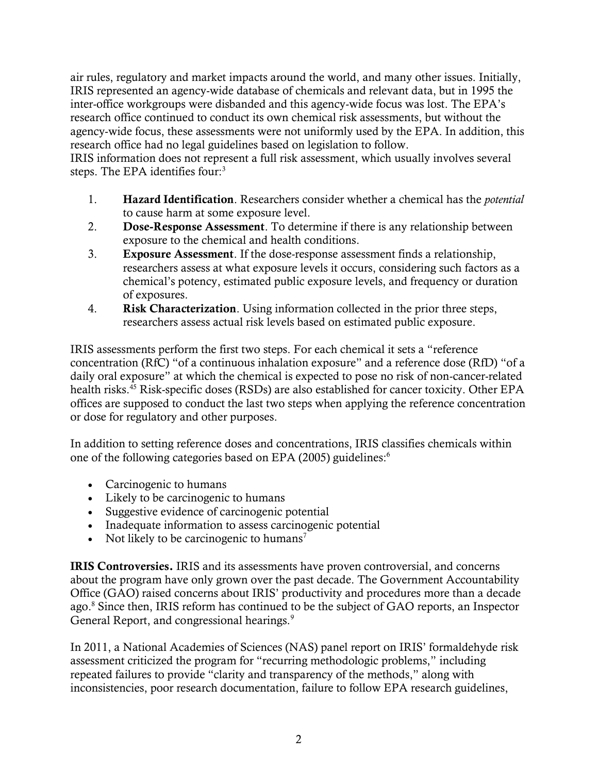air rules, regulatory and market impacts around the world, and many other issues. Initially, IRIS represented an agency-wide database of chemicals and relevant data, but in 1995 the inter-office workgroups were disbanded and this agency-wide focus was lost. The EPA's research office continued to conduct its own chemical risk assessments, but without the agency-wide focus, these assessments were not uniformly used by the EPA. In addition, this research office had no legal guidelines based on legislation to follow.

IRIS information does not represent a full risk assessment, which usually involves several steps. The EPA identifies four:<sup>3</sup>

- 1. Hazard Identification. Researchers consider whether a chemical has the *potential*  to cause harm at some exposure level.
- 2. Dose-Response Assessment. To determine if there is any relationship between exposure to the chemical and health conditions.
- 3. Exposure Assessment. If the dose-response assessment finds a relationship, researchers assess at what exposure levels it occurs, considering such factors as a chemical's potency, estimated public exposure levels, and frequency or duration of exposures.
- 4. Risk Characterization. Using information collected in the prior three steps, researchers assess actual risk levels based on estimated public exposure.

IRIS assessments perform the first two steps. For each chemical it sets a "reference concentration (RfC) "of a continuous inhalation exposure" and a reference dose (RfD) "of a daily oral exposure" at which the chemical is expected to pose no risk of non-cancer-related health risks.<sup>45</sup> Risk-specific doses (RSDs) are also established for cancer toxicity. Other EPA offices are supposed to conduct the last two steps when applying the reference concentration or dose for regulatory and other purposes.

In addition to setting reference doses and concentrations, IRIS classifies chemicals within one of the following categories based on EPA (2005) guidelines:<sup>6</sup>

- Carcinogenic to humans
- Likely to be carcinogenic to humans
- Suggestive evidence of carcinogenic potential
- Inadequate information to assess carcinogenic potential
- Not likely to be carcinogenic to humans<sup>7</sup>

IRIS Controversies. IRIS and its assessments have proven controversial, and concerns about the program have only grown over the past decade. The Government Accountability Office (GAO) raised concerns about IRIS' productivity and procedures more than a decade ago.<sup>8</sup> Since then, IRIS reform has continued to be the subject of GAO reports, an Inspector General Report, and congressional hearings.<sup>9</sup>

In 2011, a National Academies of Sciences (NAS) panel report on IRIS' formaldehyde risk assessment criticized the program for "recurring methodologic problems," including repeated failures to provide "clarity and transparency of the methods," along with inconsistencies, poor research documentation, failure to follow EPA research guidelines,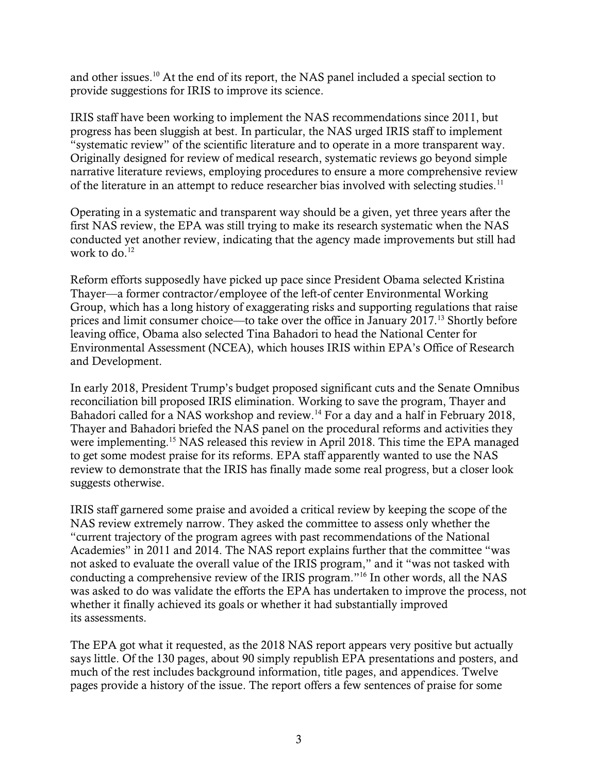and other issues.<sup>10</sup> At the end of its report, the NAS panel included a special section to provide suggestions for IRIS to improve its science.

IRIS staff have been working to implement the NAS recommendations since 2011, but progress has been sluggish at best. In particular, the NAS urged IRIS staff to implement "systematic review" of the scientific literature and to operate in a more transparent way. Originally designed for review of medical research, systematic reviews go beyond simple narrative literature reviews, employing procedures to ensure a more comprehensive review of the literature in an attempt to reduce researcher bias involved with selecting studies.<sup>11</sup>

Operating in a systematic and transparent way should be a given, yet three years after the first NAS review, the EPA was still trying to make its research systematic when the [NAS](https://www.nap.edu/catalog/18764/review-of-epas-integrated-risk-information-system-iris-process)  [conducted yet another review,](https://www.nap.edu/catalog/18764/review-of-epas-integrated-risk-information-system-iris-process) indicating that the agency made improvements but still had work to do. $12$ 

Reform efforts supposedly have picked up pace since President Obama selected Kristina Thayer—a former contractor/employee of the left-of center Environmental Working Group, which has a long history of exaggerating risks and supporting regulations that raise prices and limit consumer choice—to take over the office in January 2017.<sup>13</sup> Shortly before leaving office, Obama also selected Tina Bahadori to head the National Center for Environmental Assessment (NCEA), which houses IRIS within EPA's Office of Research and Development.

In early 2018, President Trump's budget proposed significant cuts and the Senate Omnibus reconciliation bill proposed IRIS elimination. Working to save the program, Thayer and Bahadori called for a NAS workshop and review.<sup>14</sup> For a day and a half in February 2018, Thayer and Bahadori briefed the NAS panel on the procedural reforms and activities they were implementing.<sup>15</sup> NAS released this review in April 2018. This time the EPA managed to get some modest praise for its reforms. EPA staff apparently wanted to use the NAS review to demonstrate that the IRIS has finally made some real progress, but a closer look suggests otherwise.

IRIS staff garnered some praise and avoided a critical review by keeping the scope of the NAS review extremely narrow. They asked the committee to assess only whether the "current trajectory of the program agrees with past recommendations of the National Academies" in 2011 and 2014. The NAS report explains further that the committee "was not asked to evaluate the overall value of the IRIS program," and it "was not tasked with conducting a comprehensive review of the IRIS program."<sup>16</sup> In other words, all the NAS was asked to do was validate the efforts the EPA has undertaken to improve the process, not whether it finally achieved its goals or whether it had substantially improved its assessments.

The EPA got what it requested, as the 2018 NAS report appears very positive but actually says little. Of the 130 pages, about 90 simply republish EPA presentations and posters, and much of the rest includes background information, title pages, and appendices. Twelve pages provide a history of the issue. The report offers a few sentences of praise for some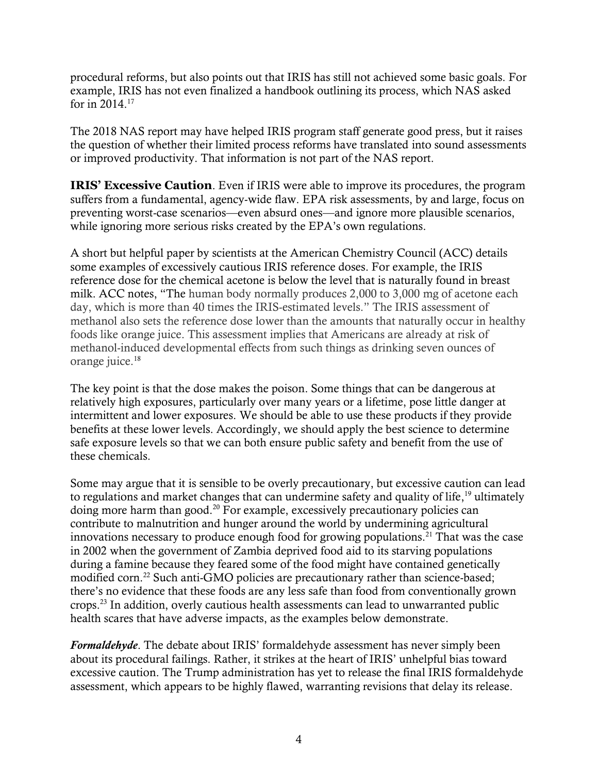procedural reforms, but also points out that IRIS has still not achieved some basic goals. For example, IRIS has not even finalized a handbook outlining its process, which NAS asked for in  $2014$ .<sup>17</sup>

The 2018 NAS report may have helped IRIS program staff generate good press, but it raises the question of whether their limited process reforms have translated into sound assessments or improved productivity. That information is not part of the NAS report.

**IRIS' Excessive Caution**. Even if IRIS were able to improve its procedures, the program suffers from a fundamental, agency-wide flaw. EPA risk assessments, by and large, focus on preventing worst-case scenarios—even absurd ones—and ignore more plausible scenarios, while ignoring more serious risks created by the EPA's own regulations.

A short but helpful paper by scientists at the American Chemistry Council (ACC) details some examples of excessively cautious IRIS reference doses. For example, the IRIS reference dose for the chemical acetone is below the level that is naturally found in breast milk. ACC notes, "The human body normally produces 2,000 to 3,000 mg of acetone each day, which is more than 40 times the IRIS-estimated levels." The IRIS assessment of methanol also sets the reference dose lower than the amounts that naturally occur in healthy foods like orange juice. This assessment implies that Americans are already at risk of methanol-induced developmental effects from such things as drinking seven ounces of orange juice.<sup>18</sup>

The key point is that the dose makes the poison. Some things that can be dangerous at relatively high exposures, particularly over many years or a lifetime, pose little danger at intermittent and lower exposures. We should be able to use these products if they provide benefits at these lower levels. Accordingly, we should apply the best science to determine safe exposure levels so that we can both ensure public safety and benefit from the use of these chemicals.

Some may argue that it is sensible to be overly precautionary, but excessive caution can lead to regulations and market changes that can undermine safety and quality of life,<sup>19</sup> ultimately doing more harm than good.<sup>20</sup> For example, excessively precautionary policies can contribute to malnutrition and hunger around the world by undermining agricultural innovations necessary to produce enough food for growing populations.<sup>21</sup> That was the case in 2002 when the government of Zambia deprived food aid to its starving populations during a famine because they feared some of the food might have contained genetically modified corn.<sup>22</sup> Such anti-GMO policies are precautionary rather than science-based; there's no evidence that these foods are any less safe than food from conventionally grown crops.<sup>23</sup> In addition, overly cautious health assessments can lead to unwarranted public health scares that have adverse impacts, as the examples below demonstrate.

*Formaldehyde*. The debate about IRIS' formaldehyde assessment has never simply been about its procedural failings. Rather, it strikes at the heart of IRIS' unhelpful bias toward excessive caution. The Trump administration has yet to release the final IRIS formaldehyde assessment, which appears to be highly flawed, warranting revisions that delay its release.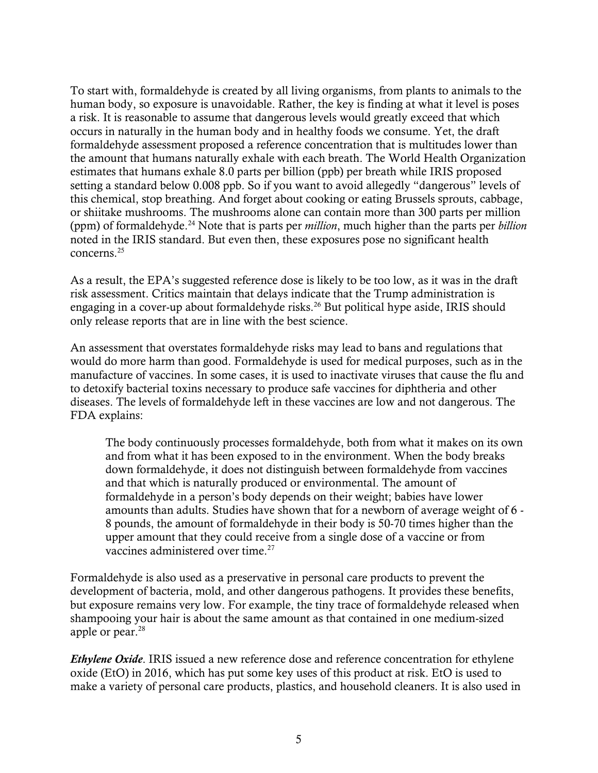To start with, formaldehyde is created by all living organisms, from plants to animals to the human body, so exposure is unavoidable. Rather, the key is finding at what it level is poses a risk. It is reasonable to assume that dangerous levels would greatly exceed that which occurs in naturally in the human body and in healthy foods we consume. Yet, the draft formaldehyde assessment proposed a reference concentration that is multitudes lower than the amount that humans naturally exhale with each breath. The World Health Organization estimates that humans exhale 8.0 parts per billion (ppb) per breath while IRIS proposed setting a standard below 0.008 ppb. So if you want to avoid allegedly "dangerous" levels of this chemical, stop breathing. And forget about cooking or eating Brussels sprouts, cabbage, or shiitake mushrooms. The mushrooms alone can contain more than 300 parts per million (ppm) of formaldehyde.<sup>24</sup> Note that is parts per *million*, much higher than the parts per *billion* noted in the IRIS standard. But even then, these exposures pose no significant health concerns.<sup>25</sup>

As a result, the EPA's suggested reference dose is likely to be too low, as it was in the draft risk assessment. Critics maintain that delays indicate that the Trump administration is engaging in a cover-up about formaldehyde risks.<sup>26</sup> But political hype aside, IRIS should only release reports that are in line with the best science.

An assessment that overstates formaldehyde risks may lead to bans and regulations that would do more harm than good. Formaldehyde is used for medical purposes, such as in the manufacture of vaccines. In some cases, it is used to inactivate viruses that cause the flu and to detoxify bacterial toxins necessary to produce safe vaccines for diphtheria and other diseases. The levels of formaldehyde left in these vaccines are low and not dangerous. The FDA explains:

The body continuously processes formaldehyde, both from what it makes on its own and from what it has been exposed to in the environment. When the body breaks down formaldehyde, it does not distinguish between formaldehyde from vaccines and that which is naturally produced or environmental. The amount of formaldehyde in a person's body depends on their weight; babies have lower amounts than adults. Studies have shown that for a newborn of average weight of 6 - 8 pounds, the amount of formaldehyde in their body is 50-70 times higher than the upper amount that they could receive from a single dose of a vaccine or from vaccines administered over time.<sup>27</sup>

Formaldehyde is also used as a preservative in personal care products to prevent the development of bacteria, mold, and other dangerous pathogens. It provides these benefits, but exposure remains very low. For example, the tiny trace of formaldehyde released when shampooing your hair is about the same amount as that contained in one medium-sized apple or pear.<sup>28</sup>

*Ethylene Oxide*. IRIS issued a new reference dose and reference concentration for ethylene oxide (EtO) in 2016, which has put some key uses of this product at risk. EtO is used to make a variety of personal care products, plastics, and household cleaners. It is also used in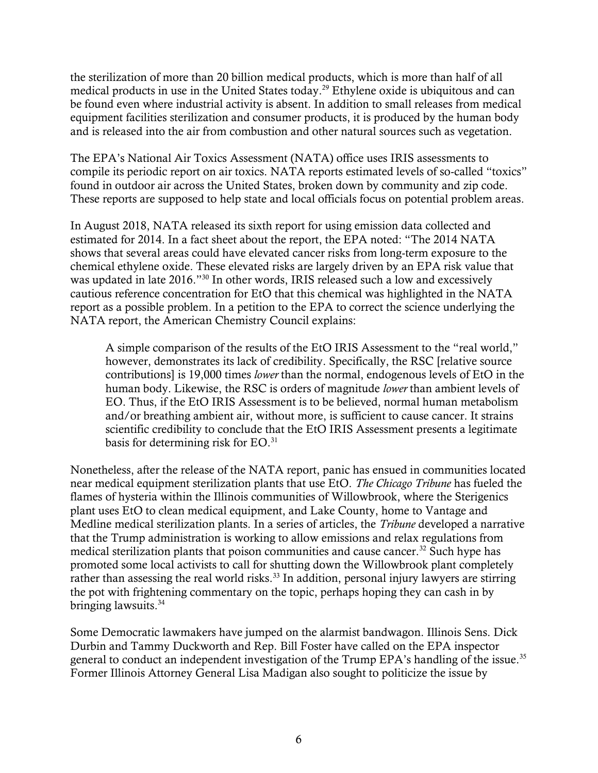the sterilization of more than 20 billion medical products, which is more than half of all medical products in use in the United States today.<sup>29</sup> Ethylene oxide is ubiquitous and can be found even where industrial activity is absent. In addition to small releases from medical equipment facilities sterilization and consumer products, it is produced by the human body and is released into the air from combustion and other natural sources such as vegetation.

The EPA's National Air Toxics Assessment (NATA) office uses IRIS assessments to compile its periodic report on air toxics. NATA reports estimated levels of so-called "toxics" found in outdoor air across the United States, broken down by community and zip code. These reports are supposed to help state and local officials focus on potential problem areas.

In August 2018, NATA released its sixth report for using emission data collected and estimated for 2014. In a fact sheet about the report, the EPA noted: "The 2014 NATA shows that several areas could have elevated cancer risks from long-term exposure to the chemical ethylene oxide. These elevated risks are largely driven by an EPA risk value that was updated in late 2016."<sup>30</sup> In other words, IRIS released such a low and excessively cautious reference concentration for EtO that this chemical was highlighted in the NATA report as a possible problem. In a petition to the EPA to correct the science underlying the NATA report, the American Chemistry Council explains:

A simple comparison of the results of the EtO IRIS Assessment to the "real world," however, demonstrates its lack of credibility. Specifically, the RSC [relative source contributions] is 19,000 times *lower* than the normal, endogenous levels of EtO in the human body. Likewise, the RSC is orders of magnitude *lower* than ambient levels of EO. Thus, if the EtO IRIS Assessment is to be believed, normal human metabolism and/or breathing ambient air, without more, is sufficient to cause cancer. It strains scientific credibility to conclude that the EtO IRIS Assessment presents a legitimate basis for determining risk for EO.<sup>31</sup>

Nonetheless, after the release of the NATA report, panic has ensued in communities located near medical equipment sterilization plants that use EtO. *The Chicago Tribune* has fueled the flames of hysteria within the Illinois communities of Willowbrook, where the Sterigenics plant uses EtO to clean medical equipment, and Lake County, home to Vantage and Medline medical sterilization plants. In a series of articles, the *Tribune* developed a narrative that the Trump administration is working to allow emissions and relax regulations from medical sterilization plants that poison communities and cause cancer.<sup>32</sup> Such hype has promoted some local activists to call for shutting down the Willowbrook plant completely rather than assessing the real world risks.<sup>33</sup> In addition, personal injury lawyers are stirring the pot with frightening commentary on the topic, perhaps hoping they can cash in by bringing lawsuits.<sup>34</sup>

Some Democratic lawmakers have jumped on the alarmist bandwagon. Illinois Sens. Dick Durbin and Tammy Duckworth and Rep. Bill Foster have called on the EPA inspector general to conduct an independent investigation of the Trump EPA's handling of the issue.<sup>35</sup> Former Illinois Attorney General Lisa Madigan also sought to politicize the issue by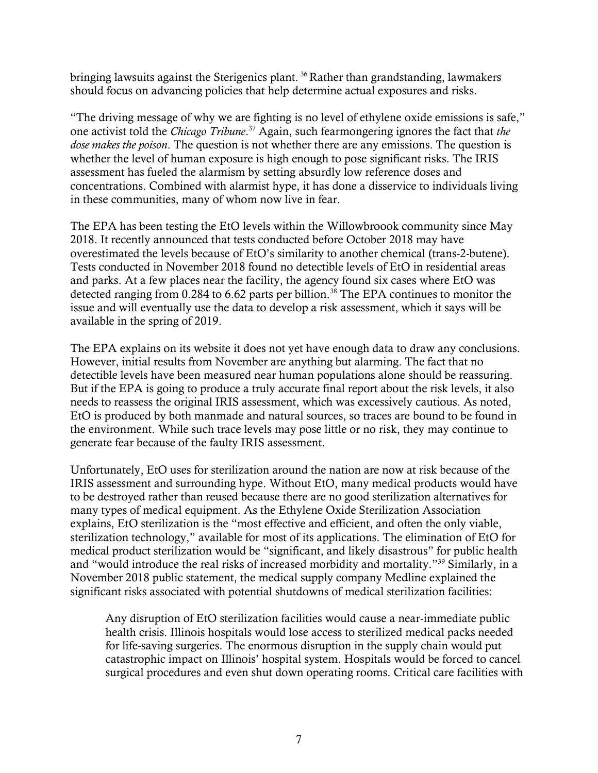bringing lawsuits against the Sterigenics plant.<sup>36</sup> Rather than grandstanding, lawmakers should focus on advancing policies that help determine actual exposures and risks.

"The driving message of why we are fighting is no level of ethylene oxide emissions is safe," one activist told the *Chicago Tribune*. <sup>37</sup> Again, such fearmongering ignores the fact that *the dose makes the poison*. The question is not whether there are any emissions. The question is whether the level of human exposure is high enough to pose significant risks. The IRIS assessment has fueled the alarmism by setting absurdly low reference doses and concentrations. Combined with alarmist hype, it has done a disservice to individuals living in these communities, many of whom now live in fear.

The EPA has been testing the EtO levels within the Willowbroook community since May 2018. It recently announced that tests conducted before October 2018 may have overestimated the levels because of EtO's similarity to another chemical (trans-2-butene). Tests conducted in November 2018 found no detectible levels of EtO in residential areas and parks. At a few places near the facility, the agency found six cases where EtO was detected ranging from 0.284 to 6.62 parts per billion.<sup>38</sup> The EPA continues to monitor the issue and will eventually use the data to develop a risk assessment, which it says will be available in the spring of 2019.

The EPA explains on its website it does not yet have enough data to draw any conclusions. However, initial results from November are anything but alarming. The fact that no detectible levels have been measured near human populations alone should be reassuring. But if the EPA is going to produce a truly accurate final report about the risk levels, it also needs to reassess the original IRIS assessment, which was excessively cautious. As noted, EtO is produced by both manmade and natural sources, so traces are bound to be found in the environment. While such trace levels may pose little or no risk, they may continue to generate fear because of the faulty IRIS assessment.

Unfortunately, EtO uses for sterilization around the nation are now at risk because of the IRIS assessment and surrounding hype. Without EtO, many medical products would have to be destroyed rather than reused because there are no good sterilization alternatives for many types of medical equipment. As the Ethylene Oxide Sterilization Association explains, EtO sterilization is the "most effective and efficient, and often the only viable, sterilization technology," available for most of its applications. The elimination of EtO for medical product sterilization would be "significant, and likely disastrous" for public health and "would introduce the real risks of increased morbidity and mortality."<sup>39</sup> Similarly, in a November 2018 public statement, the medical supply company Medline explained the significant risks associated with potential shutdowns of medical sterilization facilities:

Any disruption of EtO sterilization facilities would cause a near-immediate public health crisis. Illinois hospitals would lose access to sterilized medical packs needed for life-saving surgeries. The enormous disruption in the supply chain would put catastrophic impact on Illinois' hospital system. Hospitals would be forced to cancel surgical procedures and even shut down operating rooms. Critical care facilities with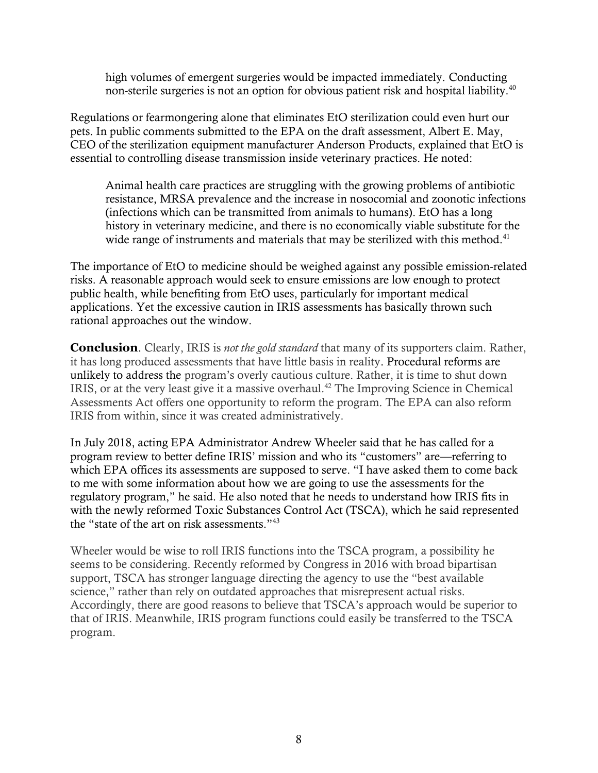high volumes of emergent surgeries would be impacted immediately. Conducting non-sterile surgeries is not an option for obvious patient risk and hospital liability.<sup>40</sup>

Regulations or fearmongering alone that eliminates EtO sterilization could even hurt our pets. In public comments submitted to the EPA on the draft assessment, Albert E. May, CEO of the sterilization equipment manufacturer Anderson Products, explained that EtO is essential to controlling disease transmission inside veterinary practices. He noted:

Animal health care practices are struggling with the growing problems of antibiotic resistance, MRSA prevalence and the increase in nosocomial and zoonotic infections (infections which can be transmitted from animals to humans). EtO has a long history in veterinary medicine, and there is no economically viable substitute for the wide range of instruments and materials that may be sterilized with this method.<sup>41</sup>

The importance of EtO to medicine should be weighed against any possible emission-related risks. A reasonable approach would seek to ensure emissions are low enough to protect public health, while benefiting from EtO uses, particularly for important medical applications. Yet the excessive caution in IRIS assessments has basically thrown such rational approaches out the window.

**Conclusion**. Clearly, IRIS is *not the gold standard* that many of its supporters claim. Rather, it has long produced assessments that have little basis in reality. Procedural reforms are unlikely to address the program's overly cautious culture. Rather, it is time to shut down IRIS, or at the very least give it a massive overhaul.<sup>42</sup> The Improving Science in Chemical Assessments Act offers one opportunity to reform the program. The EPA can also reform IRIS from within, since it was created administratively.

In July 2018, acting EPA Administrator Andrew Wheeler said that he has called for a program review to better define IRIS' mission and who its "customers" are—referring to which EPA offices its assessments are supposed to serve. "I have asked them to come back to me with some information about how we are going to use the assessments for the regulatory program," he said. He also noted that he needs to understand how IRIS fits in with the newly reformed Toxic Substances Control Act (TSCA), which he said represented the "state of the art on risk assessments."<sup>43</sup>

Wheeler would be wise to roll IRIS functions into the TSCA program, a possibility he seems to be considering. Recently reformed by Congress in 2016 with broad bipartisan support, TSCA has stronger language directing the agency to use the "best available science," rather than rely on outdated approaches that misrepresent actual risks. Accordingly, there are good reasons to believe that TSCA's approach would be superior to that of IRIS. Meanwhile, IRIS program functions could easily be transferred to the TSCA program.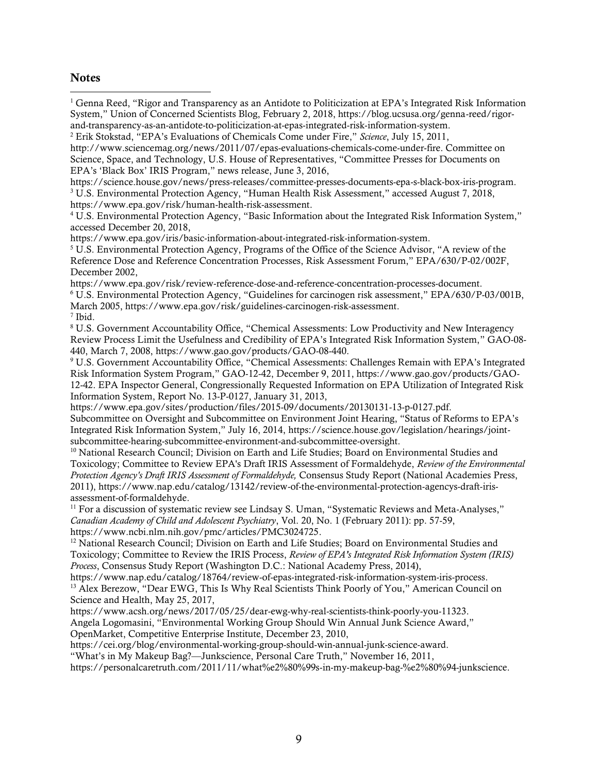## **Notes**

 $\overline{a}$ 

<sup>1</sup> Genna Reed, "Rigor and Transparency as an Antidote to Politicization at EPA's Integrated Risk Information System," Union of Concerned Scientists Blog, February 2, 2018, https://blog.ucsusa.org/genna-reed/rigorand-transparency-as-an-antidote-to-politicization-at-epas-integrated-risk-information-system.

<sup>2</sup> Erik Stokstad, "EPA's Evaluations of Chemicals Come under Fire," *Science*, July 15, 2011,

http://www.sciencemag.org/news/2011/07/epas-evaluations-chemicals-come-under-fire. Committee on Science, Space, and Technology, U.S. House of Representatives, "Committee Presses for Documents on EPA's 'Black Box' IRIS Program," news release, June 3, 2016,

https://science.house.gov/news/press-releases/committee-presses-documents-epa-s-black-box-iris-program. <sup>3</sup> U.S. Environmental Protection Agency, "Human Health Risk Assessment," accessed August 7, 2018, [https://www.epa.gov/risk/human-health-risk-assessment.](https://www.epa.gov/risk/human-health-risk-assessment)

<sup>4</sup> U.S. Environmental Protection Agency, "Basic Information about the Integrated Risk Information System," accessed December 20, 2018,

[https://www.epa.gov/iris/basic-information-about-integrated-risk-information-system.](https://www.epa.gov/iris/basic-information-about-integrated-risk-information-system)

<sup>5</sup> U.S. Environmental Protection Agency, Programs of the Office of the Science Advisor, "A review of the Reference Dose and Reference Concentration Processes, Risk Assessment Forum," EPA/630/P-02/002F, December 2002,

https://www.epa.gov/risk/review-reference-dose-and-reference-concentration-processes-document. <sup>6</sup> U.S. Environmental Protection Agency, "Guidelines for carcinogen risk assessment," EPA/630/P-03/001B, March 2005, https://www.epa.gov/risk/guidelines-carcinogen-risk-assessment.

7 Ibid.

<sup>8</sup> U.S. Government Accountability Office, "Chemical Assessments: Low Productivity and New Interagency Review Process Limit the Usefulness and Credibility of EPA's Integrated Risk Information System," GAO-08- 440, March 7, 2008, [https://www.gao.gov/products/GAO-08-440.](https://www.gao.gov/products/GAO-08-440)

<sup>9</sup> U.S. Government Accountability Office, "Chemical Assessments: Challenges Remain with EPA's Integrated Risk Information System Program," GAO-12-42, December 9, 2011, https://www.gao.gov/products/GAO-12-42. EPA Inspector General, Congressionally Requested Information on EPA Utilization of Integrated Risk Information System, Report No. 13-P-0127, January 31, 2013,

[https://www.epa.gov/sites/production/files/2015-09/documents/20130131-13-p-0127.pdf.](https://www.epa.gov/sites/production/files/2015-09/documents/20130131-13-p-0127.pdf)

Subcommittee on Oversight and Subcommittee on Environment Joint Hearing, "Status of Reforms to EPA's Integrated Risk Information System," July 16, 2014, [https://science.house.gov/legislation/hearings/joint](https://science.house.gov/legislation/hearings/joint-subcommittee-hearing-subcommittee-environment-and-subcommittee-oversight)[subcommittee-hearing-subcommittee-environment-and-subcommittee-oversight.](https://science.house.gov/legislation/hearings/joint-subcommittee-hearing-subcommittee-environment-and-subcommittee-oversight)

<sup>10</sup> National Research Council; Division on Earth and Life Studies; Board on Environmental Studies and Toxicology; Committee to Review EPA's Draft IRIS Assessment of Formaldehyde, *Review of the Environmental Protection Agency's Draft IRIS Assessment of Formaldehyde,* Consensus Study Report (National Academies Press, 2011), [https://www.nap.edu/catalog/13142/review-of-the-environmental-protection-agencys-draft-iris](https://www.nap.edu/catalog/13142/review-of-the-environmental-protection-agencys-draft-iris-assessment-of-formaldehyde)[assessment-of-formaldehyde.](https://www.nap.edu/catalog/13142/review-of-the-environmental-protection-agencys-draft-iris-assessment-of-formaldehyde)

<sup>11</sup> For a discussion of systematic review see Lindsay S. Uman, "Systematic Reviews and Meta-Analyses," *Canadian Academy of Child and Adolescent Psychiatry*, Vol. 20, No. 1 (February 2011): pp. 57-59, https://www.ncbi.nlm.nih.gov/pmc/articles/PMC3024725.

<sup>12</sup> National Research Council; Division on Earth and Life Studies; Board on Environmental Studies and Toxicology; Committee to Review the IRIS Process, *Review of EPA's Integrated Risk Information System (IRIS) Process*, Consensus Study Report (Washington D.C.: National Academy Press, 2014),

https://www.nap.edu/catalog/18764/review-of-epas-integrated-risk-information-system-iris-process. <sup>13</sup> Alex Berezow, "Dear EWG, This Is Why Real Scientists Think Poorly of You," American Council on Science and Health, May 25, 2017,

[https://www.acsh.org/news/2017/05/25/dear-ewg-why-real-scientists-think-poorly-you-11323.](https://www.acsh.org/news/2017/05/25/dear-ewg-why-real-scientists-think-poorly-you-11323) Angela Logomasini, "Environmental Working Group Should Win Annual Junk Science Award," OpenMarket, Competitive Enterprise Institute, December 23, 2010,

[https://cei.org/blog/environmental-working-group-should-win-annual-junk-science-award.](https://cei.org/blog/environmental-working-group-should-win-annual-junk-science-award)

"What's in My Makeup Bag?—Junkscience, Personal Care Truth," November 16, 2011,

[https://personalcaretruth.com/2011/11/what%e2%80%99s-in-my-makeup-bag-%e2%80%94-junkscience.](https://personalcaretruth.com/2011/11/what%e2%80%99s-in-my-makeup-bag-%e2%80%94-junkscience)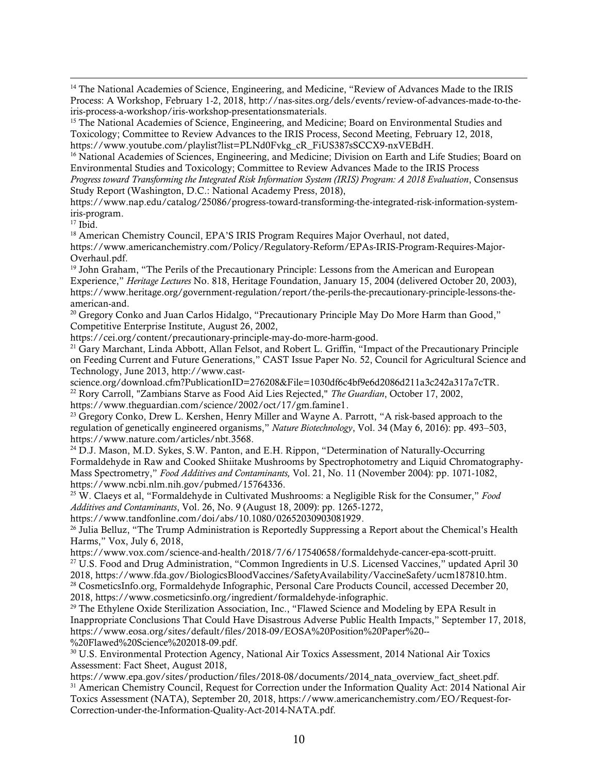<sup>14</sup> The National Academies of Science, Engineering, and Medicine, "Review of Advances Made to the IRIS Process: A Workshop, February 1-2, 2018, [http://nas-sites.org/dels/events/review-of-advances-made-to-the](http://nas-sites.org/dels/events/review-of-advances-made-to-the-iris-process-a-workshop/iris-workshop-presentationsmaterials)[iris-process-a-workshop/iris-workshop-presentationsmaterials.](http://nas-sites.org/dels/events/review-of-advances-made-to-the-iris-process-a-workshop/iris-workshop-presentationsmaterials)

<sup>15</sup> The National Academies of Science, Engineering, and Medicine; Board on Environmental Studies and Toxicology; Committee to Review Advances to the IRIS Process, Second Meeting, February 12, 2018, [https://www.youtube.com/playlist?list=PLNd0Fvkg\\_cR\\_FiUS387sSCCX9-nxVEBdH.](https://www.youtube.com/playlist?list=PLNd0Fvkg_cR_FiUS387sSCCX9-nxVEBdH)

<sup>16</sup> National Academies of Sciences, Engineering, and Medicine; Division on Earth and Life Studies; Board on Environmental Studies and Toxicology; Committee to Review Advances Made to the IRIS Process *Progress toward Transforming the Integrated Risk Information System (IRIS) Program: A 2018 Evaluation*, Consensus Study Report (Washington, D.C.: National Academy Press, 2018),

[https://www.nap.edu/catalog/25086/progress-toward-transforming-the-integrated-risk-information-system](https://www.nap.edu/catalog/25086/progress-toward-transforming-the-integrated-risk-information-system-iris-program)[iris-program.](https://www.nap.edu/catalog/25086/progress-toward-transforming-the-integrated-risk-information-system-iris-program)

<sup>17</sup> Ibid.

 $\overline{a}$ 

<sup>18</sup> American Chemistry Council, EPA'S IRIS Program Requires Major Overhaul, not dated, [https://www.americanchemistry.com/Policy/Regulatory-Reform/EPAs-IRIS-Program-Requires-Major-](https://www.americanchemistry.com/Policy/Regulatory-Reform/EPAs-IRIS-Program-Requires-Major-Overhaul.pdf)[Overhaul.pdf.](https://www.americanchemistry.com/Policy/Regulatory-Reform/EPAs-IRIS-Program-Requires-Major-Overhaul.pdf)

<sup>19</sup> John Graham, "The Perils of the Precautionary Principle: Lessons from the American and European Experience," *Heritage Lectures* No. 818, Heritage Foundation, January 15, 2004 (delivered October 20, 2003), [https://www.heritage.org/government-regulation/report/the-perils-the-precautionary-principle-lessons-the](https://www.heritage.org/government-regulation/report/the-perils-the-precautionary-principle-lessons-the-american-and)[american-and.](https://www.heritage.org/government-regulation/report/the-perils-the-precautionary-principle-lessons-the-american-and)

<sup>20</sup> Gregory Conko and Juan Carlos Hidalgo, "Precautionary Principle May Do More Harm than Good," Competitive Enterprise Institute, August 26, 2002,

[https://cei.org/content/precautionary-principle-may-do-more-harm-good.](https://cei.org/content/precautionary-principle-may-do-more-harm-good)

<sup>21</sup> Gary Marchant, Linda Abbott, Allan Felsot, and Robert L. Griffin, "Impact of the Precautionary Principle on Feeding Current and Future Generations," CAST Issue Paper No. 52, Council for Agricultural Science and Technology, June 2013, [http://www.cast-](http://www.cast-science.org/download.cfm?PublicationID=276208&File=1030df6c4bf9e6d2086d211a3c242a317a7cTR)

[science.org/download.cfm?PublicationID=276208&File=1030df6c4bf9e6d2086d211a3c242a317a7cTR.](http://www.cast-science.org/download.cfm?PublicationID=276208&File=1030df6c4bf9e6d2086d211a3c242a317a7cTR) <sup>22</sup> Rory Carroll, "Zambians Starve as Food Aid Lies Rejected," *The Guardian*, October 17, 2002, [https://www.theguardian.com/science/2002/oct/17/gm.famine1.](https://www.theguardian.com/science/2002/oct/17/gm.famine1)

<sup>23</sup> Gregory Conko, Drew L. Kershen, Henry Miller and Wayne A. Parrott, "A risk-based approach to the regulation of genetically engineered organisms," *Nature Biotechnology*, Vol. 34 (May 6, 2016): pp. 493–503, [https://www.nature.com/articles/nbt.3568.](https://www.nature.com/articles/nbt.3568)

<sup>24</sup> D.J. Mason, M.D. Sykes, S.W. Panton, and E.H. Rippon, "Determination of Naturally-Occurring Formaldehyde in Raw and Cooked Shiitake Mushrooms by Spectrophotometry and Liquid Chromatography-Mass Spectrometry," *Food Additives and Contaminants,* Vol. 21, No. 11 (November 2004): pp. 1071-1082, [https://www.ncbi.nlm.nih.gov/pubmed/15764336.](https://www.ncbi.nlm.nih.gov/pubmed/15764336)

<sup>25</sup> W. Claeys et al, "Formaldehyde in Cultivated Mushrooms: a Negligible Risk for the Consumer," *Food Additives and Contaminants*, Vol. 26, No. 9 (August 18, 2009): pp. 1265-1272,

[https://www.tandfonline.com/doi/abs/10.1080/02652030903081929.](https://www.tandfonline.com/doi/abs/10.1080/02652030903081929)

<sup>26</sup> Julia Belluz, "The Trump Administration is Reportedly Suppressing a Report about the Chemical's Health Harms," Vox, July 6, 2018,

[https://www.vox.com/science-and-health/2018/7/6/17540658/formaldehyde-cancer-epa-scott-pruitt.](https://www.vox.com/science-and-health/2018/7/6/17540658/formaldehyde-cancer-epa-scott-pruitt) <sup>27</sup> U.S. Food and Drug Administration, "Common Ingredients in U.S. Licensed Vaccines," updated April 30 2018, [https://www.fda.gov/BiologicsBloodVaccines/SafetyAvailability/VaccineSafety/ucm187810.htm.](https://www.fda.gov/BiologicsBloodVaccines/SafetyAvailability/VaccineSafety/ucm187810.htm) <sup>28</sup> CosmeticsInfo.org, Formaldehyde Infographic, Personal Care Products Council, accessed December 20, 2018[, https://www.cosmeticsinfo.org/ingredient/formaldehyde-infographic.](https://www.cosmeticsinfo.org/ingredient/formaldehyde-infographic)

<sup>29</sup> The Ethylene Oxide Sterilization Association, Inc., "Flawed Science and Modeling by EPA Result in Inappropriate Conclusions That Could Have Disastrous Adverse Public Health Impacts," September 17, 2018, [https://www.eosa.org/sites/default/files/2018-09/EOSA%20Position%20Paper%20--](https://www.eosa.org/sites/default/files/2018-09/EOSA%20Position%20Paper%20--%20Flawed%20Science%202018-09.pdf) [%20Flawed%20Science%202018-09.pdf.](https://www.eosa.org/sites/default/files/2018-09/EOSA%20Position%20Paper%20--%20Flawed%20Science%202018-09.pdf)

<sup>30</sup> U.S. Environmental Protection Agency, National Air Toxics Assessment, 2014 National Air Toxics Assessment: Fact Sheet, August 2018,

[https://www.epa.gov/sites/production/files/2018-08/documents/2014\\_nata\\_overview\\_fact\\_sheet.pdf.](https://www.epa.gov/sites/production/files/2018-08/documents/2014_nata_overview_fact_sheet.pdf) <sup>31</sup> American Chemistry Council, Request for Correction under the Information Quality Act: 2014 National Air Toxics Assessment (NATA), September 20, 2018, [https://www.americanchemistry.com/EO/Request-for-](https://www.americanchemistry.com/EO/Request-for-Correction-under-the-Information-Quality-Act-2014-NATA.pdf)[Correction-under-the-Information-Quality-Act-2014-NATA.pdf.](https://www.americanchemistry.com/EO/Request-for-Correction-under-the-Information-Quality-Act-2014-NATA.pdf)